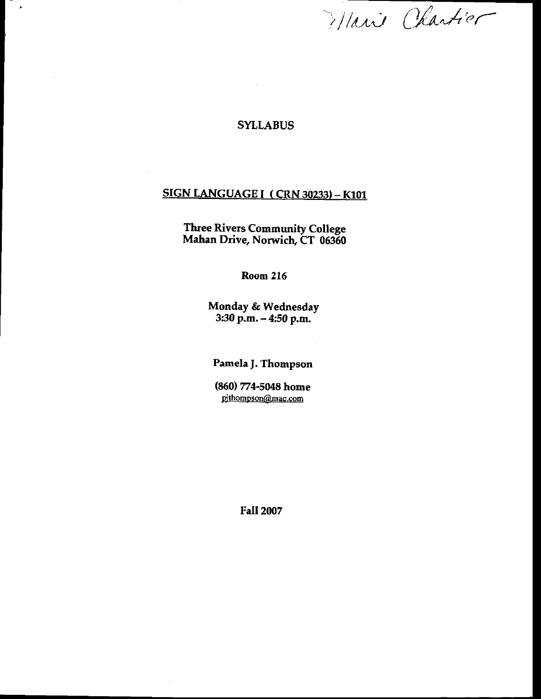Marie Chartier

#### SYLLABUS

 $\epsilon$ 

# **SIGN LANGUAGE I ( CRN 30233) - K101**

Three Rivers Community College Mahan Drive, Norwich, Cf O0S6O

Room 216

Monday & Wednesday 3:30p.m. - 4:50 p.m.

Pamela J. Thompson

(860) 774-5048 home pithompson@mac.com

Fall 2007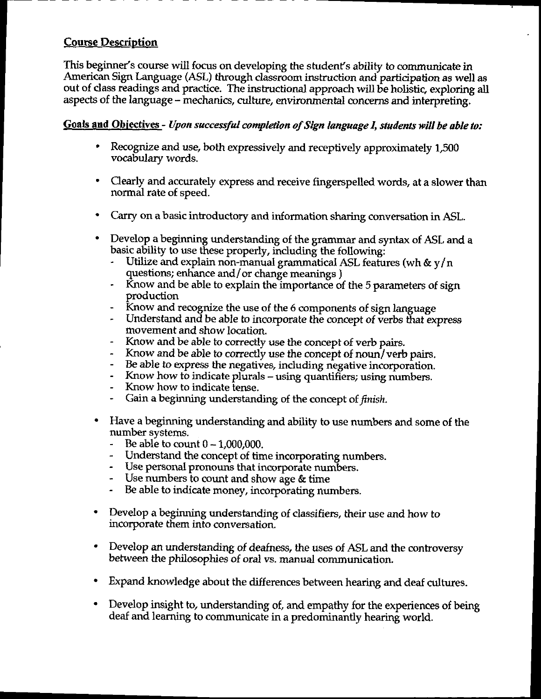## **Course Description**

This beginner's course will focus on developing the student's ability to communicate in American Sign Language (ASL) through clatsroom instruction and-participation as well as out of class readings and practice. The instructional approach will be holistic, exploring all aspects of the language – mechanics, culture, environmental concerns and interpreting.

#### Goals and Objectives - Upon successful completion of Sign language I, students will be able to:

- ' Recognjze and use, both expressively and receptively approximately 1,500 vocabulary words.
- ' Cearly and accurately express and receive fingerspelled words, at a slower than normal rate of speed.
- . Carry on a basic introductory and information sharing convetsation in ASL.
- . Develop a beginning understanding of the grammar and syntax of ASL and a basic ability to use these properly, indudine the following:
	- Utilize and explain non-manual grammatical ASL features (wh  $\&$  y/n questions; enhance and /or change meanings )
	- Know and be able to explain the importance of the 5 parameters of sign Droduction
	- Know and recognize the use of the 6 components of sign language
	- Understand and be able to incorporate the concept of verbs that express movement and show location.
	- Know and be able to correctly use the concept of verb pairs.
	- Know and be able to correctly use the concept of noun/ verb pairs.
	- Be able to express the negatives, including negative incorporation.
	- Know how to indicate plurals using quantifiers; using numbers.
	- Know how to indicate tense.
	- Gain a beginning understanding of the concept of finish.
- . Have a beginning understanding and ability to use numbers and some of the number svstems.
	- $-$  Be able to count  $0 1,000,000$ .
	- Understand the concept of time incorporating numbers.
	- Use personal pronouns that incorporate numbers.
	- Use numbers to count and show age & time
	- Be able to indicate money, incorporating numbers.
- . Develop a beginning understanding of dassifiers, their use and how to incorporate them into conversation.
- bevelop an understanding of deafness, the uses of ASL and the controversy between the philosophies of oral vs. manual communication.
- . Expand knowledge about the differences between hearing and deaf cultures.
- . Develop insight to, urderstanding of, and empathy for the experiences of being deaf and learning to communicate in a predominantly hearing world.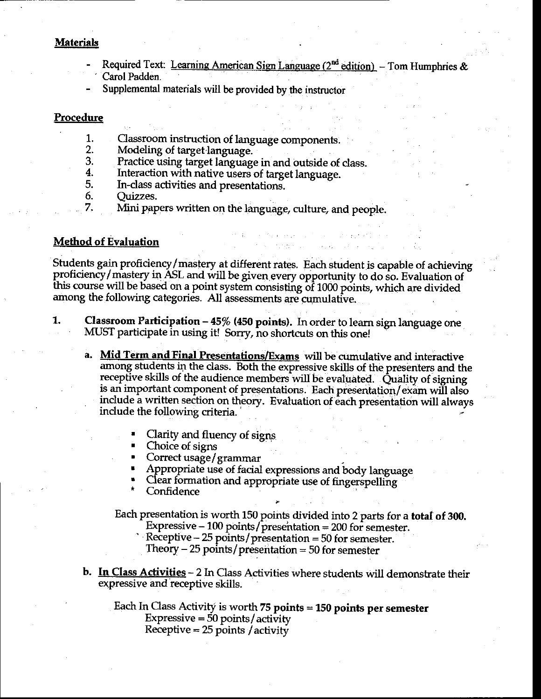#### **Materials**

- Required Text: Learning American Sign Language  $(2^{nd}$  edition) Tom Humphries & Carol Padden
- Supplemental materials will be provided by the instructor

#### **Procedure**

- Classroom instruction of language components. 1.
- Modeling of target language. 2.
- 3. Practice using target language in and outside of class.
- $\overline{4}$ . Interaction with native users of target language.
- 5. In-class activities and presentations.
- 6. Ouizzes.
	- Mini papers written on the language, culture, and people.

#### **Method of Evaluation**

7.

Students gain proficiency/mastery at different rates. Each student is capable of achieving proficiency/mastery in ASL and will be given every opportunity to do so. Evaluation of this course will be based on a point system consisting of 1000 points, which are divided among the following categories. All assessments are cumulative.

- **Classroom Participation 45% (450 points).** In order to learn sign language one 1. MUST participate in using it! Sorry, no shortcuts on this one!
	- a. Mid Term and Final Presentations/Exams will be cumulative and interactive among students in the class. Both the expressive skills of the presenters and the receptive skills of the audience members will be evaluated. Quality of signing is an important component of presentations. Each presentation/exam will also include a written section on theory. Evaluation of each presentation will always include the following criteria.
		- Clarity and fluency of signs
		- Choice of signs
		- Correct usage/grammar
		- Appropriate use of facial expressions and body language
		- Clear formation and appropriate use of fingerspelling
		- Confidence

Each presentation is worth 150 points divided into 2 parts for a total of 300.

- Expressive 100 points/presentation =  $200$  for semester.
- Receptive  $-25$  points/presentation  $= 50$  for semester.
	- Theory  $-25$  points/presentation  $=50$  for semester
- b. In Class Activities 2 In Class Activities where students will demonstrate their expressive and receptive skills.

Each In Class Activity is worth  $75$  points = 150 points per semester Expressive  $=$  50 points/activity Receptive  $= 25$  points / activity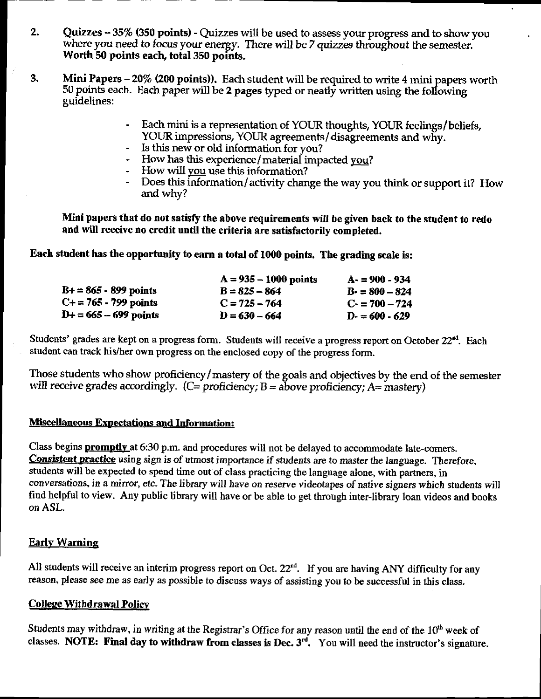- Quizzes 35% (350 points) Quizzes will be used to assess your progress and to show you  $2.$ where you need to focus your energy. There will be 7 quizzes throughout the semester. Worth 50 points each, total 350 points.
- Mini Papers 20% (200 points)). Each student will be required to write 4 mini papers worth 3. 50 points each. Each paper will be 2 pages typed or neatly written using the following guidelines:
	- Each mini is a representation of YOUR thoughts, YOUR feelings/beliefs, YOUR impressions, YOUR agreements/disagreements and why.

 $\bar{\textbf{t}}$ 

- Is this new or old information for you?
- How has this experience/material impacted you?
- How will you use this information?
- Does this information/activity change the way you think or support it? How and why?

Mini papers that do not satisfy the above requirements will be given back to the student to redo and will receive no credit until the criteria are satisfactorily completed.

Each student has the opportunity to earn a total of 1000 points. The grading scale is:

|                            | $A = 935 - 1000$ points | $A - 900 - 934$  |
|----------------------------|-------------------------|------------------|
| $B+ = 865 - 899$ points    | $B = 825 - 864$         | $B = 800 - 824$  |
| $C_{+} = 765 - 799$ points | $C = 725 - 764$         | $C1 = 700 - 724$ |
| $D+ = 665 - 699$ points    | $D = 630 - 664$         | $D = 600 - 629$  |

Students' grades are kept on a progress form. Students will receive a progress report on October 22<sup>nd</sup>. Each student can track his/her own progress on the enclosed copy of the progress form.

Those students who show proficiency/mastery of the goals and objectives by the end of the semester will receive grades accordingly. (C= proficiency;  $B = above$  proficiency;  $A = mastery$ )

#### **Miscellaneous Expectations and Information:**

Class begins **promptly** at 6:30 p.m. and procedures will not be delayed to accommodate late-comers. Consistent practice using sign is of utmost importance if students are to master the language. Therefore, students will be expected to spend time out of class practicing the language alone, with partners, in conversations, in a mirror, etc. The library will have on reserve videotapes of native signers which students will find helpful to view. Any public library will have or be able to get through inter-library loan videos and books on ASL.

### **Early Warning**

All students will receive an interim progress report on Oct. 22<sup>nd</sup>. If you are having ANY difficulty for any reason, please see me as early as possible to discuss ways of assisting you to be successful in this class.

### **College Withdrawal Policy**

Students may withdraw, in writing at the Registrar's Office for any reason until the end of the 10<sup>th</sup> week of classes. NOTE: Final day to withdraw from classes is Dec.  $3^{rd}$ . You will need the instructor's signature.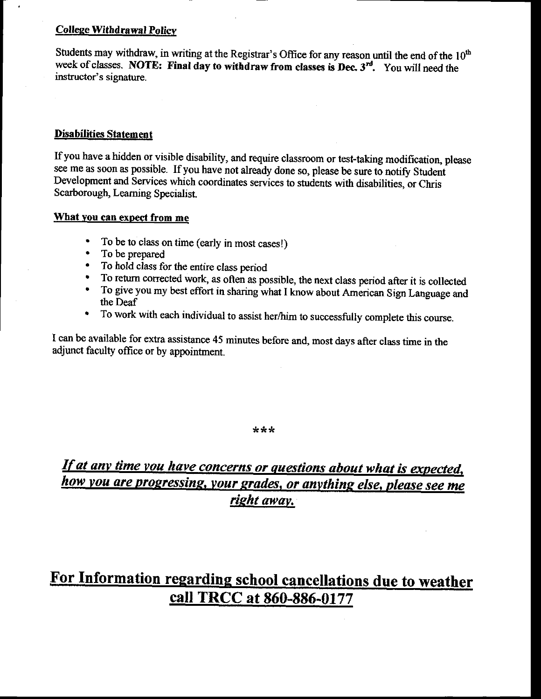#### **College Withdrawal Policy**

Students may withdraw, in writing at the Registrar's Office for any reason until the end of the  $10<sup>th</sup>$ week of classes. NOTE: Final day to withdraw from classes is Dec.  $3<sup>rd</sup>$ . You will need the instructor's signature.

#### Disabilities Statement

Ifyou have a hidden or visible disability, and require classroom or test-taking modification, please see me as soon as possible. If you have not already done so, please be sure to notify Student Development and Services which coordinates services to students with disabilities, or Chris Scarborough, Learning Specialist.

#### What you can expect from me

- To be to class on time (early in most cases!)<br>• To be prepared
- . To be prepared
- 
- To hold class for the entire class period<br>• To return corrected work, as often as possible, the next class period after it is collected
- To give you my best effort in sharing what I know about American Sign Language and the Deaf
- ' To work with each individual to assist her/him to successfully complete this course.

I can be available for exfa assistance 45 minutes before and, most days after class time in the adjunct faculty office or by appointment.

#### $* * *$

# If at any time you have concerns or questions about what is expected, how you are progressing, your grades, or anything else, please see me right away.

# For Information regarding school canceilations due to weather call TRCC at 860-886-0177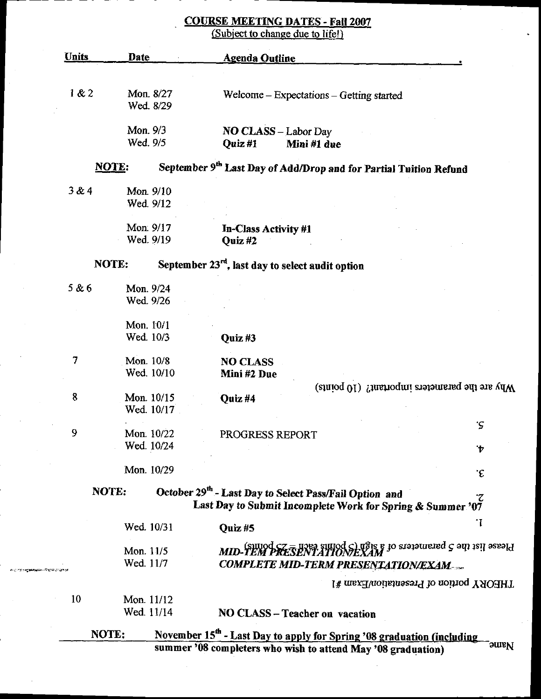# **COURSE MEETING DATES - Fall 2007**<br>(Subject to change due to life!)

 $\overline{a}$ 

*™©™\$÷≠***€#AW**\$\~©@©*C* 

| <u>Units</u>     | Date                     |            | <b>Agenda Outline</b>                                                              |                    |
|------------------|--------------------------|------------|------------------------------------------------------------------------------------|--------------------|
|                  |                          |            |                                                                                    |                    |
| 1 & 2            |                          | Mon. 8/27  | Welcome – Expectations – Getting started                                           |                    |
|                  |                          | Wed. 8/29  |                                                                                    |                    |
|                  | Mon. 9/3                 |            | <b>NO CLASS</b> - Labor Day                                                        |                    |
|                  | Wed. 9/5                 |            | Quiz#1<br>Mini #1 due                                                              |                    |
|                  | <b>NOTE:</b>             |            | September 9 <sup>th</sup> Last Day of Add/Drop and for Partial Tuition Refund      |                    |
| 3&4              | Mon. 9/10                |            |                                                                                    |                    |
|                  | Wed. 9/12                |            |                                                                                    |                    |
|                  | Mon. 9/17                |            | In-Class Activity #1                                                               |                    |
|                  | Wed. 9/19                |            | Quiz#2                                                                             |                    |
|                  | NOTE:                    |            | September $23rd$ , last day to select audit option                                 |                    |
| 5 & 6            | Mon. 9/24                |            |                                                                                    |                    |
|                  | Wed. 9/26                |            |                                                                                    |                    |
|                  | Mon. 10/1                |            |                                                                                    |                    |
|                  | Wed. 10/3                |            | Quiz#3                                                                             |                    |
| 7                | Mon. 10/8                |            | <b>NO CLASS</b>                                                                    |                    |
|                  |                          | Wed. 10/10 | Mini #2 Due                                                                        |                    |
| $\boldsymbol{8}$ |                          |            | Why are the parameters important? (10 points)                                      |                    |
|                  | Mon. 10/15               | Wed. 10/17 | Quiz #4                                                                            |                    |
|                  |                          |            |                                                                                    | .c                 |
| 9                | Mon. 10/22<br>Wed. 10/24 |            | PROGRESS REPORT                                                                    |                    |
|                  |                          |            |                                                                                    | $\mathbf{\dot{v}}$ |
|                  | Mon. 10/29               |            |                                                                                    | ۰£                 |
|                  | NOTE:                    |            | October 29 <sup>th</sup> - Last Day to Select Pass/Fail Option and                 | ۲.                 |
|                  |                          |            | Last Day to Submit Incomplete Work for Spring & Summer '07                         |                    |
|                  | Wed. 10/31               |            | Quiz#5                                                                             | ٠I                 |
|                  | Mon. 11/5                |            | $MID$ -TEM PRESENTATIONEXAM                                                        |                    |
| 125.54           | Wed. 11/7                |            | <b>COMPLETE MID-TERM PRESENTATION/EXAM</b>                                         |                    |
|                  |                          |            | THEORY portion of Presentation/Exam #1                                             |                    |
| 10               | Mon. 11/12               |            |                                                                                    |                    |
|                  | Wed. 11/14               |            | NO CLASS - Teacher on vacation                                                     |                    |
|                  | NOTE:                    |            | November 15 <sup>th</sup> - Last Day to apply for Spring '08 graduation (including |                    |
|                  |                          |            | summer '08 completers who wish to attend May '08 graduation)                       | <b>Small</b>       |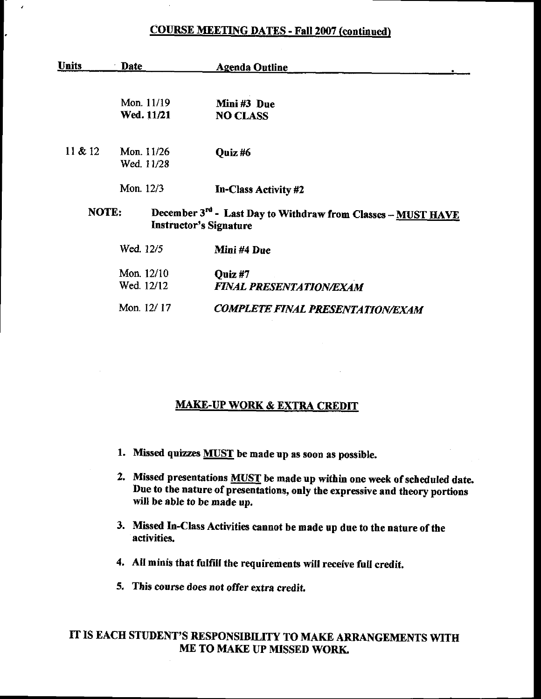### COURSE MEETING DATES - Fall 2007 (continued)

 $\cdot$ 

l.

| <b>Units</b> | Date       | <b>Agenda Outline</b>                                                                         |
|--------------|------------|-----------------------------------------------------------------------------------------------|
|              |            |                                                                                               |
|              | Mon. 11/19 | Mini#3 Due                                                                                    |
|              | Wed. 11/21 | <b>NO CLASS</b>                                                                               |
| 11 & 212     | Mon. 11/26 | Quiz#6                                                                                        |
|              | Wed. 11/28 |                                                                                               |
|              | Mon. 12/3  | In-Class Activity #2                                                                          |
| NOTE:        |            | December 3rd - Last Day to Withdraw from Classes - MUST HAVE<br><b>Instructor's Signature</b> |
|              | Wed. 12/5  | Mini #4 Due                                                                                   |
|              | Mon. 12/10 | Ouiz #7                                                                                       |
|              | Wed. 12/12 | <b>FINAL PRESENTATION/EXAM</b>                                                                |
|              | Mon. 12/17 | <b>COMPLETE FINAL PRESENTATION/EXAM</b>                                                       |

## MAKE-UP WORK & EXTRA CREDIT

- 1. Missed quizzes **MUST** be made up as soon as possible.
- 2. Missed presentations **MUST** be made up within one week of scheduled date. Due to the nature of presentations, only the expressive and theory portions will be able to be made up.
- 3. Missed In-Class Activities cannot be made up due to the nature of the activities.
- 4. All minis that fulfill the requirements will receive full credit.
- 5. This course does not offer extra credit.

## IT IS EACH STUDENT'S RESPONSIBILITY TO MAKE ARRANGEMENTS WITH ME TO MAKE UP MISSED WORK.